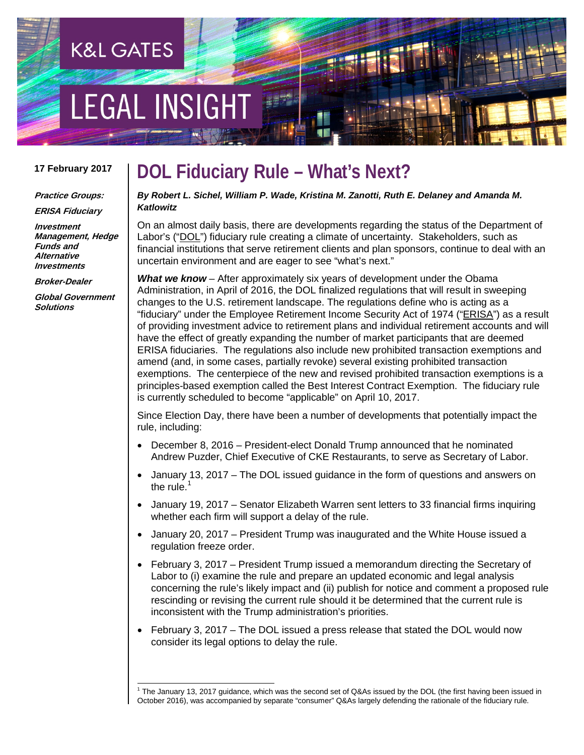# EGAL INSIGHT

**K&L GATES** 

#### **17 February 2017**

**Practice Groups: ERISA Fiduciary**

**Investment Management, Hedge Funds and Alternative Investments**

**Broker-Dealer**

**Global Government Solutions**

### **DOL Fiduciary Rule – What's Next?**

*By Robert L. Sichel, William P. Wade, Kristina M. Zanotti, Ruth E. Delaney and Amanda M. Katlowitz*

On an almost daily basis, there are developments regarding the status of the Department of Labor's ("DOL") fiduciary rule creating a climate of uncertainty. Stakeholders, such as financial institutions that serve retirement clients and plan sponsors, continue to deal with an uncertain environment and are eager to see "what's next."

*What we know* – After approximately six years of development under the Obama Administration, in April of 2016, the DOL finalized regulations that will result in sweeping changes to the U.S. retirement landscape. The regulations define who is acting as a "fiduciary" under the Employee Retirement Income Security Act of 1974 ("ERISA") as a result of providing investment advice to retirement plans and individual retirement accounts and will have the effect of greatly expanding the number of market participants that are deemed ERISA fiduciaries. The regulations also include new prohibited transaction exemptions and amend (and, in some cases, partially revoke) several existing prohibited transaction exemptions. The centerpiece of the new and revised prohibited transaction exemptions is a principles-based exemption called the Best Interest Contract Exemption. The fiduciary rule is currently scheduled to become "applicable" on April 10, 2017.

Since Election Day, there have been a number of developments that potentially impact the rule, including:

- December 8, 2016 President-elect Donald Trump announced that he nominated Andrew Puzder, Chief Executive of CKE Restaurants, to serve as Secretary of Labor.
- January 13, 2017 The DOL issued guidance in the form of questions and answers on the rule. $1$
- January 19, 2017 Senator Elizabeth Warren sent letters to 33 financial firms inquiring whether each firm will support a delay of the rule.
- January 20, 2017 President Trump was inaugurated and the White House issued a regulation freeze order.
- February 3, 2017 President Trump issued a memorandum directing the Secretary of Labor to (i) examine the rule and prepare an updated economic and legal analysis concerning the rule's likely impact and (ii) publish for notice and comment a proposed rule rescinding or revising the current rule should it be determined that the current rule is inconsistent with the Trump administration's priorities.
- February 3, 2017 The DOL issued a press release that stated the DOL would now consider its legal options to delay the rule.

<span id="page-0-0"></span> $1$  The January 13, 2017 guidance, which was the second set of Q&As issued by the DOL (the first having been issued in October 2016), was accompanied by separate "consumer" Q&As largely defending the rationale of the fiduciary rule.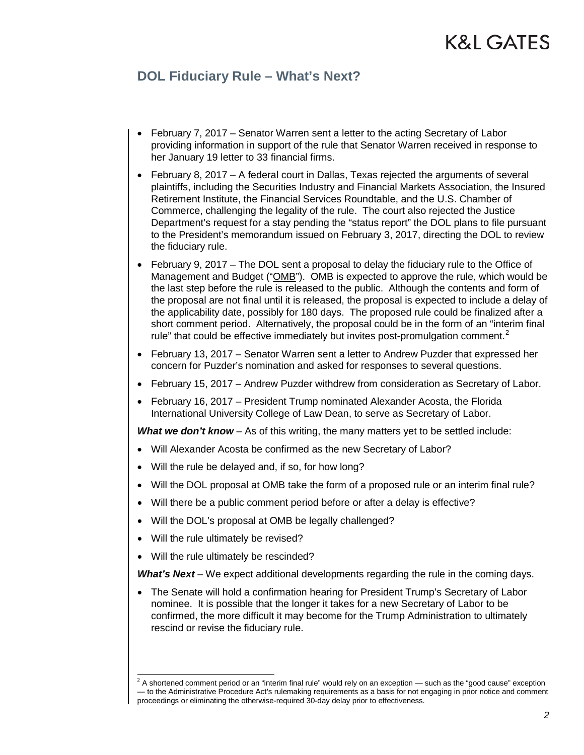## K&L GATES

### **DOL Fiduciary Rule – What's Next?**

- February 7, 2017 Senator Warren sent a letter to the acting Secretary of Labor providing information in support of the rule that Senator Warren received in response to her January 19 letter to 33 financial firms.
- February 8, 2017 A federal court in Dallas, Texas rejected the arguments of several plaintiffs, including the Securities Industry and Financial Markets Association, the Insured Retirement Institute, the Financial Services Roundtable, and the U.S. Chamber of Commerce, challenging the legality of the rule. The court also rejected the Justice Department's request for a stay pending the "status report" the DOL plans to file pursuant to the President's memorandum issued on February 3, 2017, directing the DOL to review the fiduciary rule.
- February 9, 2017 The DOL sent a proposal to delay the fiduciary rule to the Office of Management and Budget ("OMB"). OMB is expected to approve the rule, which would be the last step before the rule is released to the public. Although the contents and form of the proposal are not final until it is released, the proposal is expected to include a delay of the applicability date, possibly for 180 days. The proposed rule could be finalized after a short comment period. Alternatively, the proposal could be in the form of an "interim final rule" that could be effective immediately but invites post-promulgation comment. $<sup>2</sup>$  $<sup>2</sup>$  $<sup>2</sup>$ </sup>
- February 13, 2017 Senator Warren sent a letter to Andrew Puzder that expressed her concern for Puzder's nomination and asked for responses to several questions.
- February 15, 2017 Andrew Puzder withdrew from consideration as Secretary of Labor.
- February 16, 2017 President Trump nominated Alexander Acosta, the Florida International University College of Law Dean, to serve as Secretary of Labor.

*What we don't know* – As of this writing, the many matters yet to be settled include:

- Will Alexander Acosta be confirmed as the new Secretary of Labor?
- Will the rule be delayed and, if so, for how long?
- Will the DOL proposal at OMB take the form of a proposed rule or an interim final rule?
- Will there be a public comment period before or after a delay is effective?
- Will the DOL's proposal at OMB be legally challenged?
- Will the rule ultimately be revised?
- Will the rule ultimately be rescinded?

*What's Next* – We expect additional developments regarding the rule in the coming days.

• The Senate will hold a confirmation hearing for President Trump's Secretary of Labor nominee. It is possible that the longer it takes for a new Secretary of Labor to be confirmed, the more difficult it may become for the Trump Administration to ultimately rescind or revise the fiduciary rule.

<span id="page-1-0"></span> $2A$  shortened comment period or an "interim final rule" would rely on an exception — such as the "good cause" exception — to the Administrative Procedure Act's rulemaking requirements as a basis for not engaging in prior notice and comment proceedings or eliminating the otherwise-required 30-day delay prior to effectiveness.